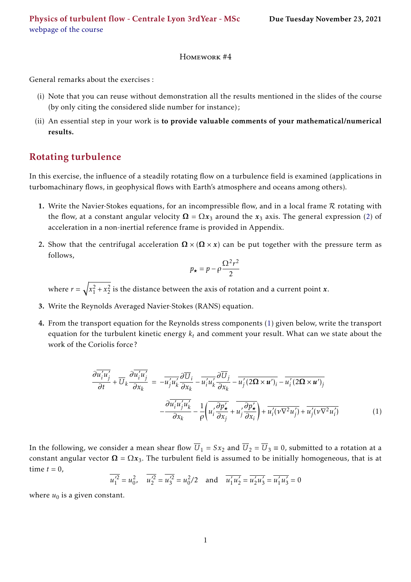## Homework #4

General remarks about the exercises :

- (i) Note that you can reuse without demonstration all the results mentioned in the slides of the course (by only citing the considered slide number for instance);
- (ii) An essential step in your work is to provide valuable comments of your mathematical/numerical results.

## Rotating turbulence

In this exercise, the influence of a steadily rotating flow on a turbulence field is examined (applications in turbomachinary flows, in geophysical flows with Earth's atmosphere and oceans among others).

- 1. Write the Navier-Stokes equations, for an incompressible flow, and in a local frame  $R$  rotating with the flow, at a constant angular velocity  $\Omega = \Omega x_3$  around the  $x_3$  axis. The general expression [\(2\)](#page-2-0) of acceleration in a non-inertial reference frame is provided in Appendix.
- 2. Show that the centrifugal acceleration  $\Omega \times (\Omega \times x)$  can be put together with the pressure term as follows,

$$
p_{\star} = p - \rho \frac{\Omega^2 r^2}{2}
$$

where  $r = \sqrt{x_1^2 + x_2^2}$  is the distance between the axis of rotation and a current point *x*.

- 3. Write the Reynolds Averaged Navier-Stokes (RANS) equation.
- 4. From the transport equation for the Reynolds stress components [\(1\)](#page-0-0) given below, write the transport equation for the turbulent kinetic energy *k<sup>t</sup>* and comment your result. What can we state about the work of the Coriolis force ?

<span id="page-0-0"></span>
$$
\frac{\partial \overline{u_i' u_j'}}{\partial t} + \overline{U}_k \frac{\partial \overline{u_i' u_j'}}{\partial x_k} = -\overline{u_j' u_k'} \frac{\partial \overline{U}_i}{\partial x_k} - \overline{u_i' u_k'} \frac{\partial \overline{U}_j}{\partial x_k} - \overline{u_j'} (2\Omega \times u')_i - \overline{u_i'} (2\Omega \times u')_j
$$
\n
$$
-\frac{\partial \overline{u_i' u_j' u_k'}}{\partial x_k} - \frac{1}{\rho} \left( \overline{u_i' \frac{\partial p'_\star}{\partial x_j}} + \overline{u_j' \frac{\partial p'_\star}{\partial x_i}} \right) + \overline{u_i' (\nu \nabla^2 u_j')} + \overline{u_j' (\nu \nabla^2 u_i')} \tag{1}
$$

In the following, we consider a mean shear flow  $\overline{U}_1 = Sx_2$  and  $\overline{U}_2 = \overline{U}_3 \equiv 0$ , submitted to a rotation at a constant angular vector  $\Omega = \Omega x_3$ . The turbulent field is assumed to be initially homogeneous, that is at time  $t = 0$ ,

$$
\overline{u_1'^2} = u_0^2
$$
,  $\overline{u_2'^2} = \overline{u_3'^2} = u_0^2/2$  and  $\overline{u_1' u_2'} = \overline{u_2' u_3'} = \overline{u_1' u_3'} = 0$ 

where  $u_0$  is a given constant.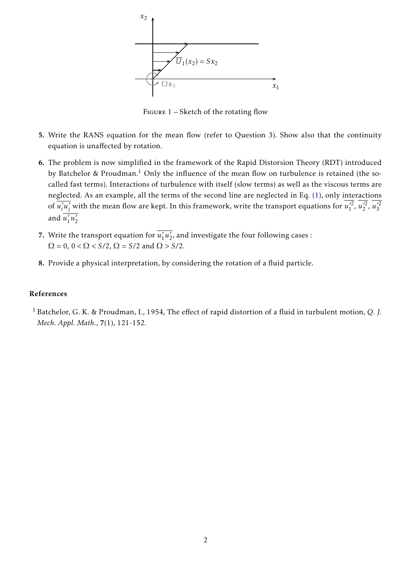

Figure 1 – Sketch of the rotating flow

- 5. Write the RANS equation for the mean flow (refer to Question 3). Show also that the continuity equation is unaffected by rotation.
- 6. The problem is now simplified in the framework of the Rapid Distorsion Theory (RDT) introduced by Batchelor & Proudman.<sup>[1](#page-1-0)</sup> Only the influence of the mean flow on turbulence is retained (the socalled fast terms). Interactions of turbulence with itself (slow terms) as well as the viscous terms are neglected. As an example, all the terms of the second line are neglected in Eq. [\(1\)](#page-0-0), only interactions of  $\overline{u_i'}$  $\vec{u}_j'$  with the mean flow are kept. In this framework, write the transport equations for  $\vec{u}_1'^2$ ,  $\vec{u}_2'^2$ ,  $\vec{u}_3'^2$ and  $\overline{u'_1}$  $\overline{\langle u_2 \rangle}$ 2
- 7. Write the transport equation for  $\overline{u'_1}$  $\overline{\langle u_2 \rangle}$  $\frac{1}{2}$ , and investigate the four following cases :  $\Omega = 0$ ,  $0 < \Omega < S/2$ ,  $\Omega = S/2$  and  $\Omega > S/2$ .
- 8. Provide a physical interpretation, by considering the rotation of a fluid particle.

## <span id="page-1-0"></span>References

<sup>1</sup> Batchelor, G. K. & Proudman, I., 1954, The effect of rapid distortion of a fluid in turbulent motion, *Q. J. Mech. Appl. Math.*, 7(1), 121-152.